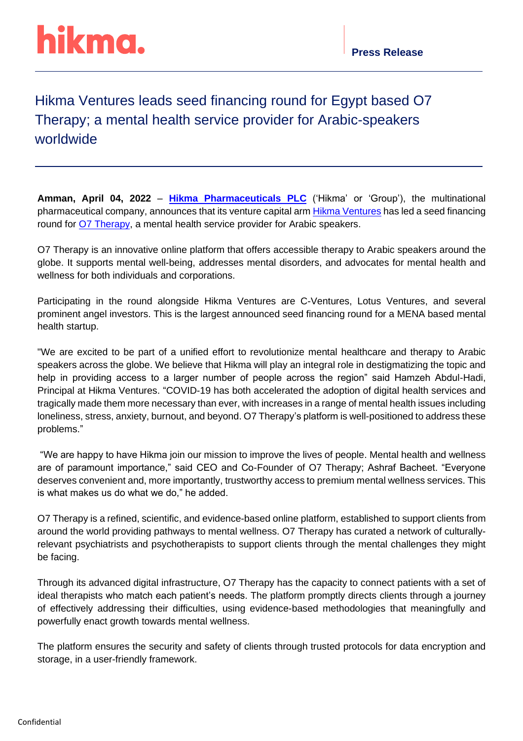# hikma.

### Hikma Ventures leads seed financing round for Egypt based O7 Therapy; a mental health service provider for Arabic-speakers worldwide

**Amman, April 04, 2022** – **[Hikma Pharmaceuticals](https://www.hikma.com/home/) PLC** ('Hikma' or 'Group'), the multinational pharmaceutical company, announces that its venture capital ar[m Hikma Ventures](https://www.hikmaventures.com/home/) has led a seed financing round for **O7 Therapy**, a mental health service provider for Arabic speakers.

O7 Therapy is an innovative online platform that offers accessible therapy to Arabic speakers around the globe. It supports mental well-being, addresses mental disorders, and advocates for mental health and wellness for both individuals and corporations.

Participating in the round alongside Hikma Ventures are C-Ventures, Lotus Ventures, and several prominent angel investors. This is the largest announced seed financing round for a MENA based mental health startup.

"We are excited to be part of a unified effort to revolutionize mental healthcare and therapy to Arabic speakers across the globe. We believe that Hikma will play an integral role in destigmatizing the topic and help in providing access to a larger number of people across the region" said Hamzeh Abdul-Hadi, Principal at Hikma Ventures. "COVID-19 has both accelerated the adoption of digital health services and tragically made them more necessary than ever, with increases in a range of mental health issues including loneliness, stress, anxiety, burnout, and beyond. O7 Therapy's platform is well-positioned to address these problems."

"We are happy to have Hikma join our mission to improve the lives of people. Mental health and wellness are of paramount importance," said CEO and Co-Founder of O7 Therapy; Ashraf Bacheet. "Everyone deserves convenient and, more importantly, trustworthy access to premium mental wellness services. This is what makes us do what we do," he added.

O7 Therapy is a refined, scientific, and evidence-based online platform, established to support clients from around the world providing pathways to mental wellness. O7 Therapy has curated a network of culturallyrelevant psychiatrists and psychotherapists to support clients through the mental challenges they might be facing.

Through its advanced digital infrastructure, O7 Therapy has the capacity to connect patients with a set of ideal therapists who match each patient's needs. The platform promptly directs clients through a journey of effectively addressing their difficulties, using evidence-based methodologies that meaningfully and powerfully enact growth towards mental wellness.

The platform ensures the security and safety of clients through trusted protocols for data encryption and storage, in a user-friendly framework.